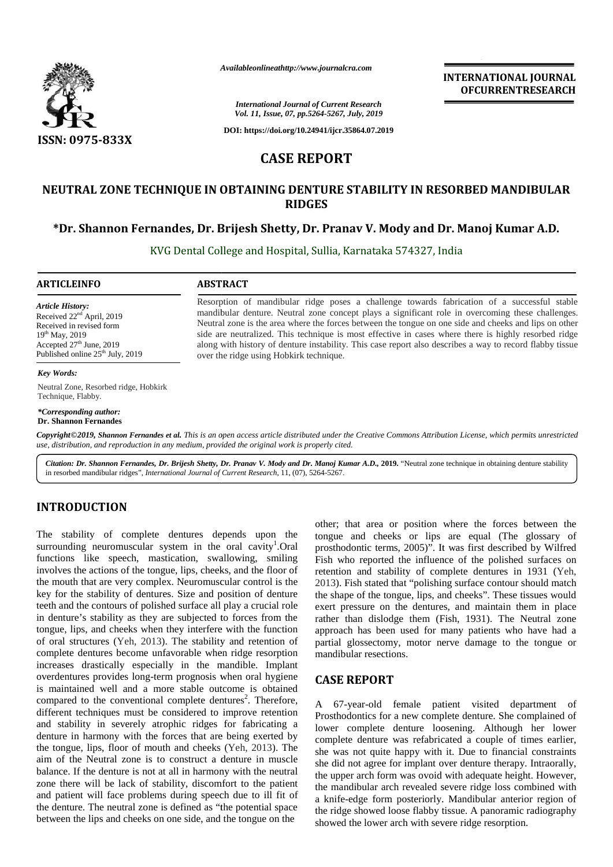

*Availableonlineathttp://www.journalcra.com*

*Vol. 11, Issue, 07, pp.5264-5267, July, 2019*<br> *Vol. 11, Issue, 07, pp.5264-5267, July, 2019* **INTERNATIONAL JOURNAL OFCURRENTRESEARCH**

*International Journal of Current Research*

**DOI: https://doi.org/10.24941/ijcr.35864.07.2019**

# **CASE REPORT CASE REPORT**

## **NEUTRAL ZONE TECHNIQUE IN OBTAINING DENTURE STABILITY IN RESORBED MANDIBULAR RIDGES**

## **\*Dr. Shannon Fernandes, Dr. Brijesh Shetty, Dr. Pranav V. Mody and Dr. Manoj Kumar A.D. Shannon Fernandes,Dr. Mody**

KVG Dental College and Hospital, Sullia, Karnataka 574327, India

Resorption of mandibular ridge poses a challenge towards fabrication of a successful stable mandibular denture. Neutral zone concept plays a significant role in overcoming these challenges. Neutral zone is the area where the forces between the tongue on one side and cheeks and lips on other side are neutralized. This technique is most effective in cases where there is highly resorbed ridge along with history of denture instability. This case report also describes a way to record flabby tissue

Resorption of mandibular ridge poses a challenge towards fabrication of a successful stable mandibular denture. Neutral zone concept plays a significant role in overcoming these challenges.<br>Neutral zone is the area where t

#### **ARTICLEINFO ABSTRACT**

*Article History:* Received 22<sup>nd</sup> April, 2019 Received in revised form 19th May, 2019 Accepted  $27<sup>th</sup>$  June, 2019 Published online  $25<sup>th</sup>$  July, 2019

#### *Key Words:*

Neutral Zone, Resorbed ridge, Hobkirk Technique, Flabby.

*\*Corresponding author:* **Dr. Shannon Fernandes**

**Copyright©2019, Shannon Fernandes et al.** This is an open access article distributed under the Creative Commons Attribution License, which permits unrestricted<br>use, distribution, and reproduction in any medium, provided t *use, distribution, and reproduction in any medium, provided the original work is properly cited. Neutral Zone, Resorbed ridge, Hobkirk*<br> *Shannon Fernandes*<br> *Shannon Fernandes*<br> *Shannon Fernandes et al. This is an open access article distributed under the Creative Commons Attribution License, which permits use, dis* 

over the ridge using Hobkirk technique.

*Citation: Dr. Shannon Fernandes, Dr. Brijesh Shetty, Dr. Pranav V. Mody and Dr. Manoj Kumar A.D.,* **2019.** "Neutral zone technique in obtaining denture stability in resorbed mandibular ridges", *International Journal of Current Research*, 11, (07), 5264-5267.

### **INTRODUCTION INTRODUCTION**

The stability of complete dentures depends upon the tong surrounding neuromuscular system in the oral cavity<sup>1</sup>.Oral  $\tau$ functions like speech, mastication, swallowing, smiling surrounding neuromuscular system in the oral cavity<sup>1</sup>.Oral propriations like speech, mastication, swallowing, smiling Finvolves the actions of the tongue, lips, cheeks, and the floor of re the mouth that are very complex. Neuromuscular control is the key for the stability of dentures. Size and position of denture teeth and the contours of polished surface all play a crucial role in denture's stability as they are subjected to forces from the rath tongue, lips, and cheeks when they interfere with the function of oral structures (Yeh, 2013). The stability and retention of complete dentures become unfavorable when ridge resorption tongue, lips, and cheeks when they interfere with the function of oral structures (Yeh, 2013). The stability and retention of promplete dentures become unfavorable when ridge resorption increases drastically especially in overdentures provides long-term prognosis when oral hygiene is maintained well and a more stable outcome is obtained compared to the conventional complete dentures<sup>2</sup>. Therefore, different techniques must be considered to improve retention and stability in severely atrophic ridges for fabricating a denture in harmony with the forces that are being exerted by the tongue, lips, floor of mouth and cheeks (Yeh, 2013). The aim of the Neutral zone is to construct a denture in muscle balance. If the denture is not at all in harmony with the neutral aim of the Neutral zone is to construct a denture in muscle balance. If the denture is not at all in harmony with the neutral zone there will be lack of stability, discomfort to the patient and patient will face problems during speech due to ill fit of  $\frac{1}{a}$ the denture. The neutral zone is defined as "the potential space  $\theta_{\text{the}}$ between the lips and cheeks on one side, and the tongue on the  $\mathbf{h}$ the mouth that are very complex. Neuromuscular control is<br>key for the stability of dentures. Size and position of dent<br>teeth and the contours of polished surface all play a crucial r overdentures provides long-term prognosis when oral hygiene<br>is maintained well and a more stable outcome is obtained<br>compared to the conventional complete dentures<sup>2</sup>. Therefore,<br>different techniques must be considered to

other; that area or position where the forces between the tongue and cheeks or lips are equal (The glossary of other; that area or position where the forces between the tongue and cheeks or lips are equal (The glossary of prosthodontic terms, 2005)". It was first described by Wilfred Fish who reported the influence of the polished surfaces on retention and stability of complete dentures in 1931 (Yeh, 2013). Fish stated that "polishing surface contour should match the shape of the tongue, lips, and cheeks". These tissues would exert pressure on the dentures, and maintain them in place rather than dislodge them (Fish, 1931). The Neutral zone approach has been used for many patients who have had a partial glossectomy, motor nerve damage to the tongue or mandibular resections. 2013). Fish stated that "polishing surface contour should the shape of the tongue, lips, and cheeks". These tissues exert pressure on the dentures, and maintain them in 267, *inty, 2019*<br>
Be STABILITY IN RESORBED MANDIBULAR<br>
RE STABILITY IN RESORBED MANDIBULAR<br>
RE STABILITY IN RESORBED MANDIBULAR<br>
FRIEST TRIBUTY IN RESORBED MANDIBULAR<br>
FRIEST TRIBUTY IN RESORBED MANDIBULAR<br>
EXERCUTE play

#### **CASE REPORT**

A 67-year-old female patient visited department of Prosthodontics for a new complete denture. She complained of lower complete denture loosening. Although her lower complete denture was refabricated a couple of times earlier, she was not quite happy with it. Due to financial constraints she did not agree for implant over denture therapy. Intraorally, the upper arch form was ovoid with adequate height. However, the mandibular arch revealed severe ridge loss combined with a knife-edge form posteriorly. Mandibular anterior region of the ridge showed loose flabby tissue. A panoramic radiography showed the lower arch with severe ridge resorption.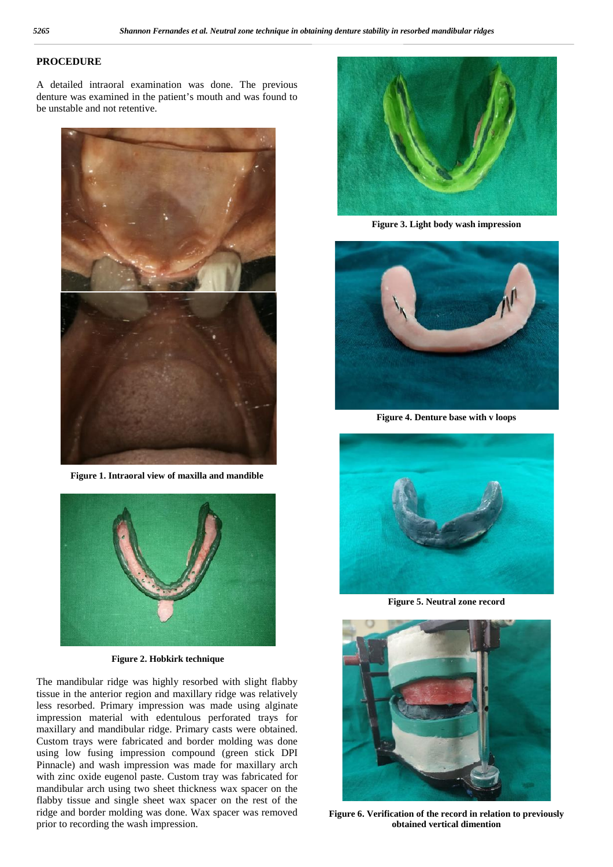## **PROCEDURE**

A detailed intraoral examination was done. The previous denture was examined in the patient's mouth and was found to be unstable and not retentive.



**Figure 1. Intraoral view of maxilla and mandible**



**Figure 2. Hobkirk technique**

The mandibular ridge was highly resorbed with slight flabby tissue in the anterior region and maxillary ridge was relatively less resorbed. Primary impression was made using alginate impression material with edentulous perforated trays for maxillary and mandibular ridge. Primary casts were obtained. Custom trays were fabricated and border molding was done using low fusing impression compound (green stick DPI Pinnacle) and wash impression was made for maxillary arch with zinc oxide eugenol paste. Custom tray was fabricated for mandibular arch using two sheet thickness wax spacer on the flabby tissue and single sheet wax spacer on the rest of the ridge and border molding was done. Wax spacer was removed prior to recording the wash impression.



**Figure 3. Light body wash impression**



**Figure 4. Denture base with v loops**



**Figure 5. Neutral zone record**



**Figure 6. Verification of the record in relation to previously obtained vertical dimention**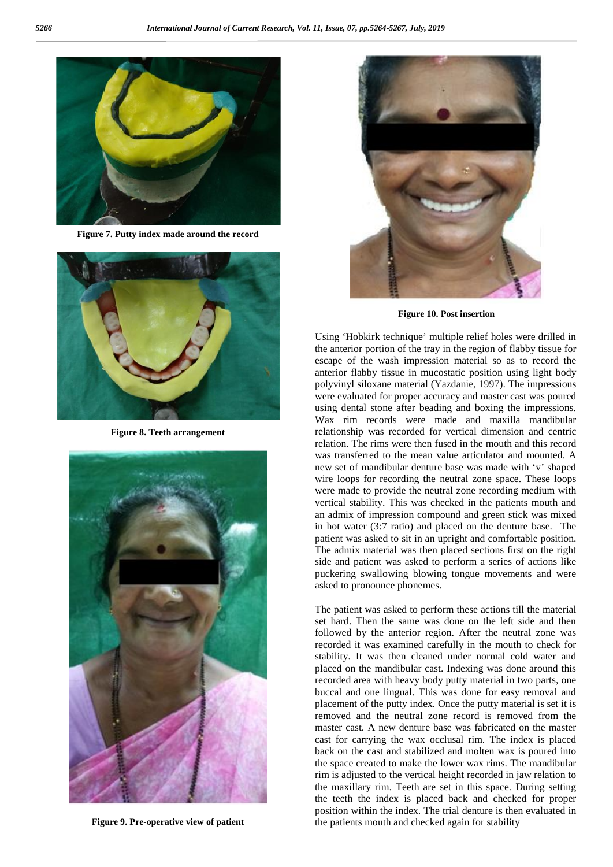

**Figure 7. Putty index made around the record**



**Figure 8. Teeth arrangement**



**Figure 9. Pre-operative view of patient**



**Figure 10. Post insertion**

Using 'Hobkirk technique' multiple relief holes were drilled in the anterior portion of the tray in the region of flabby tissue for escape of the wash impression material so as to record the anterior flabby tissue in mucostatic position using light body polyvinyl siloxane material (Yazdanie, 1997). The impressions were evaluated for proper accuracy and master cast was poured using dental stone after beading and boxing the impressions. Wax rim records were made and maxilla mandibular relationship was recorded for vertical dimension and centric relation. The rims were then fused in the mouth and this record was transferred to the mean value articulator and mounted. A new set of mandibular denture base was made with 'v' shaped wire loops for recording the neutral zone space. These loops were made to provide the neutral zone recording medium with vertical stability. This was checked in the patients mouth and an admix of impression compound and green stick was mixed in hot water (3:7 ratio) and placed on the denture base. The patient was asked to sit in an upright and comfortable position. The admix material was then placed sections first on the right side and patient was asked to perform a series of actions like puckering swallowing blowing tongue movements and were asked to pronounce phonemes.

The patient was asked to perform these actions till the material set hard. Then the same was done on the left side and then followed by the anterior region. After the neutral zone was recorded it was examined carefully in the mouth to check for stability. It was then cleaned under normal cold water and placed on the mandibular cast. Indexing was done around this recorded area with heavy body putty material in two parts, one buccal and one lingual. This was done for easy removal and placement of the putty index. Once the putty material is set it is removed and the neutral zone record is removed from the master cast. A new denture base was fabricated on the master cast for carrying the wax occlusal rim. The index is placed back on the cast and stabilized and molten wax is poured into the space created to make the lower wax rims. The mandibular rim is adjusted to the vertical height recorded in jaw relation to the maxillary rim. Teeth are set in this space. During setting the teeth the index is placed back and checked for proper position within the index. The trial denture is then evaluated in the patients mouth and checked again for stability